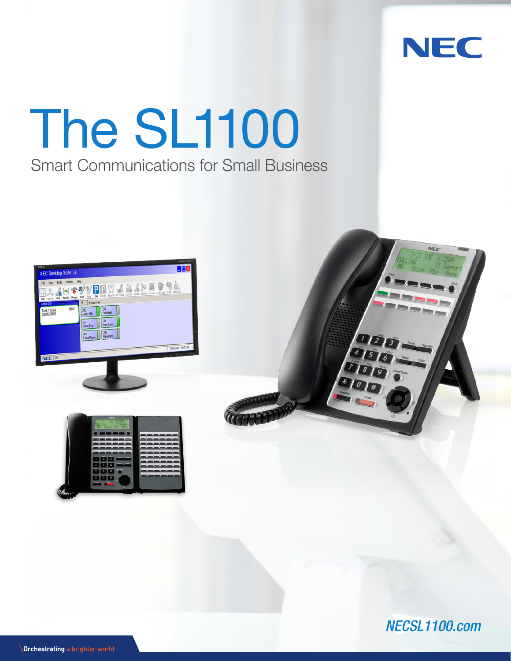

# The SL1100 Smart Communications for Small Business







*NECSL1100.com*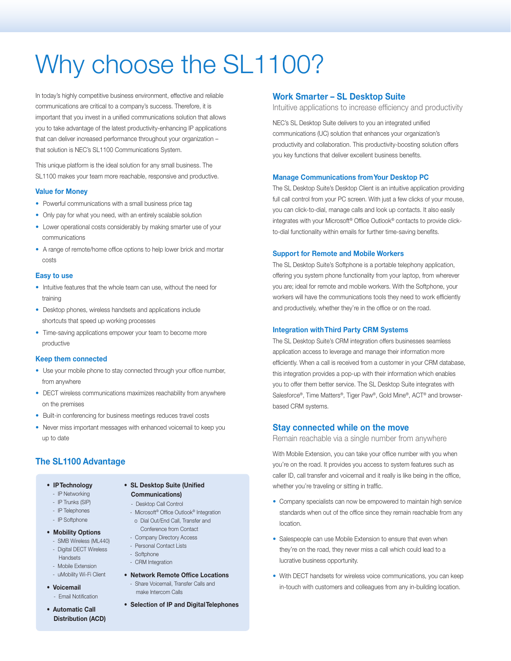# Why choose the SL1100?

In today's highly competitive business environment, effective and reliable communications are critical to a company's success. Therefore, it is important that you invest in a unified communications solution that allows you to take advantage of the latest productivity-enhancing IP applications that can deliver increased performance throughout your organization – that solution is NEC's SL1100 Communications System.

This unique platform is the ideal solution for any small business. The SL1100 makes your team more reachable, responsive and productive.

### **Value for Money**

- Powerful communications with a small business price tag
- Only pay for what you need, with an entirely scalable solution
- Lower operational costs considerably by making smarter use of your communications
- A range of remote/home office options to help lower brick and mortar costs

#### **Easy to use**

- Intuitive features that the whole team can use, without the need for training
- Desktop phones, wireless handsets and applications include shortcuts that speed up working processes
- Time-saving applications empower your team to become more productive

#### **Keep them connected**

- Use your mobile phone to stay connected through your office number, from anywhere
- DECT wireless communications maximizes reachability from anywhere on the premises
- Built-in conferencing for business meetings reduces travel costs
- Never miss important messages with enhanced voicemail to keep you up to date

# **The SL1100 Advantage**

- **IP Technology**
- IP Networking
- IP Trunks (SIP)
- IP Telephones
- IP Softphone
- **Mobility Options**
- SMB Wireless (ML440) - Digital DECT Wireless **Handsets**
- Mobile Extension
- uMobility Wi-Fi Client
- **Voicemail**
	- Email Notification
- **Automatic Call Distribution (ACD)**
- **SL Desktop Suite (Unified Communications)**
- Desktop Call Control
- Microsoft® Office Outlook® Integration o Dial Out/End Call, Transfer and Conference from Contact
- Company Directory Access
- Personal Contact Lists - Softphone
- CRM Integration
- **Network Remote Office Locations** 
	- Share Voicemail, Transfer Calls and make Intercom Calls
- **Selection of IP and Digital Telephones**

# **Work Smarter – SL Desktop Suite**

Intuitive applications to increase efficiency and productivity

NEC's SL Desktop Suite delivers to you an integrated unified communications (UC) solution that enhances your organization's productivity and collaboration. This productivity-boosting solution offers you key functions that deliver excellent business benefits.

#### **Manage Communications from Your Desktop PC**

The SL Desktop Suite's Desktop Client is an intuitive application providing full call control from your PC screen. With just a few clicks of your mouse, you can click-to-dial, manage calls and look up contacts. It also easily integrates with your Microsoft® Office Outlook® contacts to provide clickto-dial functionality within emails for further time-saving benefits.

#### **Support for Remote and Mobile Workers**

The SL Desktop Suite's Softphone is a portable telephony application, offering you system phone functionality from your laptop, from wherever you are; ideal for remote and mobile workers. With the Softphone, your workers will have the communications tools they need to work efficiently and productively, whether they're in the office or on the road.

#### **Integration with Third Party CRM Systems**

The SL Desktop Suite's CRM integration offers businesses seamless application access to leverage and manage their information more efficiently. When a call is received from a customer in your CRM database, this integration provides a pop-up with their information which enables you to offer them better service. The SL Desktop Suite integrates with Salesforce®, Time Matters®, Tiger Paw®, Gold Mine®, ACT® and browserbased CRM systems.

## **Stay connected while on the move**

Remain reachable via a single number from anywhere

With Mobile Extension, you can take your office number with you when you're on the road. It provides you access to system features such as caller ID, call transfer and voicemail and it really is like being in the office, whether you're traveling or sitting in traffic.

- Company specialists can now be empowered to maintain high service standards when out of the office since they remain reachable from any location.
- Salespeople can use Mobile Extension to ensure that even when they're on the road, they never miss a call which could lead to a lucrative business opportunity.
- With DECT handsets for wireless voice communications, you can keep in-touch with customers and colleagues from any in-building location.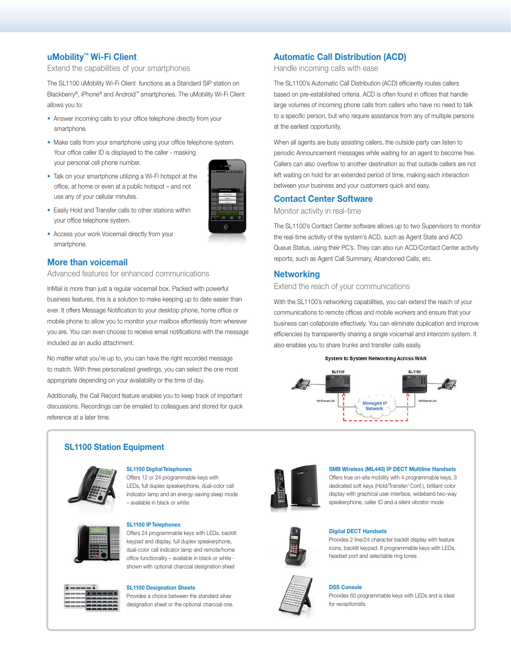# **uMobility™ Wi-Fi Client**

Extend the capabilities of your smartphones

The SL1100 uMobility Wi-Fi Client functions as a Standard SIP station on Blackberry®, iPhone® and Android™ smartphones. The uMobility Wi-Fi Client allows you to:

- Answer incoming calls to your office telephone directly from your smartphone.
- Make calls from your smartphone using your office telephone system. Your office caller ID is displayed to the caller - masking your personal cell phone number.
- Talk on your smartphone utilizing a Wi-Fi hotspot at the office, at home or even at a public hotspot – and not use any of your cellular minutes.



- Easily Hold and Transfer calls to other stations within your office telephone system.
- Access your work Voicemail directly from your smartphone.

# **More than voicemail**

Advanced features for enhanced communications

InMail is more than just a regular voicemail box. Packed with powerful business features, this is a solution to make keeping up to date easier than ever. It offers Message Notification to your desktop phone, home office or mobile phone to allow you to monitor your mailbox effortlessly from wherever you are. You can even choose to receive email notifications with the message included as an audio attachment.

No matter what you're up to, you can have the right recorded message to match. With three personalized greetings, you can select the one most appropriate depending on your availability or the time of day.

Additionally, the Call Record feature enables you to keep track of important discussions. Recordings can be emailed to colleagues and stored for quick reference at a later time.

# **SL1100 Station Equipment**



#### **SL1100 Digital Telephones**

Offers 12 or 24 programmable keys with LEDs, full duplex speakerphone, dual-color call indicator lamp and an energy-saving sleep mode – available in black or white



#### **SL1100 IP Telephones**

Offers 24 programmable keys with LEDs, backlit keypad and display, full duplex speakerphone, dual-color call indicator lamp and remote/home office functionality – available in black or white shown with optional charcoal designation sheet

# **SL1100 Designation Sheets**

Provides a choice between the standard silver designation sheet or the optional charcoal one.

# **Automatic Call Distribution (ACD)**

Handle incoming calls with ease

The SL1100's Automatic Call Distribution (ACD) efficiently routes callers based on pre-established criteria. ACD is often found in offices that handle large volumes of incoming phone calls from callers who have no need to talk to a specific person, but who require assistance from any of multiple persons at the earliest opportunity.

When all agents are busy assisting callers, the outside party can listen to periodic Announcement messages while waiting for an agent to become free. Callers can also overflow to another destination so that outside callers are not left waiting on hold for an extended period of time, making each interaction between your business and your customers quick and easy.

#### **Contact Center Software**

### Monitor activity in real-time

The SL1100's Contact Center software allows up to two Supervisors to monitor the real-time activity of the system's ACD, such as Agent State and ACD Queue Status, using their PC's. They can also run ACD/Contact Center activity reports, such as Agent Call Summary, Abandoned Calls, etc.

# **Networking**

# Extend the reach of your communications

With the SL1100's networking capabilities, you can extend the reach of your communications to remote offices and mobile workers and ensure that your business can collaborate effectively. You can eliminate duplication and improve efficiencies by transparently sharing a single voicemail and intercom system. It also enables you to share trunks and transfer calls easily.

#### System to System Networking Across WAN





#### **SMB Wireless (ML440) IP DECT Multiline Handsets**

Offers true on-site mobility with 4 programmable keys, 3 dedicated soft keys (Hold/Transfer/ Conf.), brilliant color display with graphical user interface, wideband two-way speakerphone, caller ID and a silent vibrator mode

#### **Digital DECT Handsets**

Provides 2 line/24 character backlit display with feature icons, backlit keypad, 8 programmable keys with LEDs, headset port and selectable ring tones



#### **DSS Console**

Provides 60 programmable keys with LEDs and is ideal for receptionists